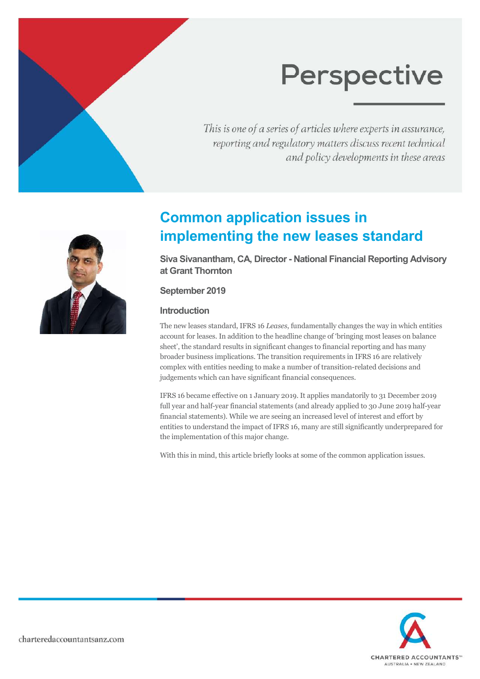This is one of a series of articles where experts in assurance, reporting and regulatory matters discuss recent technical and policy developments in these areas



## **Common application issues in implementing the new leases standard**

**Siva Sivanantham, CA, Director - National Financial Reporting Advisory at Grant Thornton** 

#### **September 2019**

#### **Introduction**

The new leases standard, IFRS 16 *Leases*, fundamentally changes the way in which entities account for leases. In addition to the headline change of 'bringing most leases on balance sheet', the standard results in significant changes to financial reporting and has many broader business implications. The transition requirements in IFRS 16 are relatively complex with entities needing to make a number of transition-related decisions and judgements which can have significant financial consequences.

IFRS 16 became effective on 1 January 2019. It applies mandatorily to 31 December 2019 full year and half-year financial statements (and already applied to 30 June 2019 half-year financial statements). While we are seeing an increased level of interest and effort by entities to understand the impact of IFRS 16, many are still significantly underprepared for the implementation of this major change.

With this in mind, this article briefly looks at some of the common application issues.

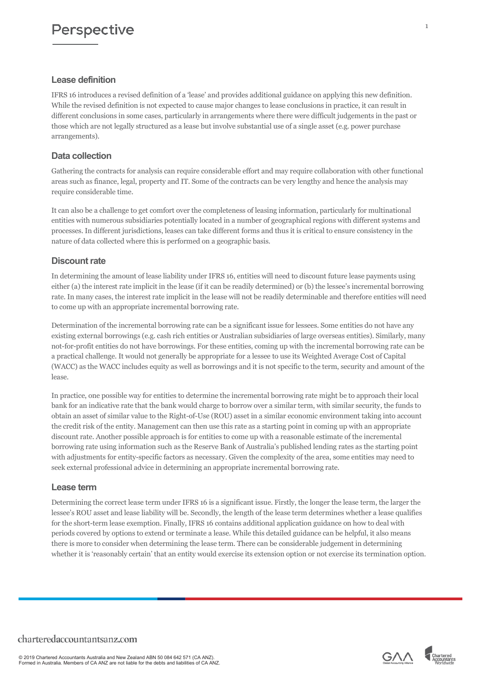#### **Lease definition**

IFRS 16 introduces a revised definition of a 'lease' and provides additional guidance on applying this new definition. While the revised definition is not expected to cause major changes to lease conclusions in practice, it can result in different conclusions in some cases, particularly in arrangements where there were difficult judgements in the past or those which are not legally structured as a lease but involve substantial use of a single asset (e.g. power purchase arrangements).

#### **Data collection**

Gathering the contracts for analysis can require considerable effort and may require collaboration with other functional areas such as finance, legal, property and IT. Some of the contracts can be very lengthy and hence the analysis may require considerable time.

It can also be a challenge to get comfort over the completeness of leasing information, particularly for multinational entities with numerous subsidiaries potentially located in a number of geographical regions with different systems and processes. In different jurisdictions, leases can take different forms and thus it is critical to ensure consistency in the nature of data collected where this is performed on a geographic basis.

#### **Discount rate**

In determining the amount of lease liability under IFRS 16, entities will need to discount future lease payments using either (a) the interest rate implicit in the lease (if it can be readily determined) or (b) the lessee's incremental borrowing rate. In many cases, the interest rate implicit in the lease will not be readily determinable and therefore entities will need to come up with an appropriate incremental borrowing rate.

Determination of the incremental borrowing rate can be a significant issue for lessees. Some entities do not have any existing external borrowings (e.g. cash rich entities or Australian subsidiaries of large overseas entities). Similarly, many not-for-profit entities do not have borrowings. For these entities, coming up with the incremental borrowing rate can be a practical challenge. It would not generally be appropriate for a lessee to use its Weighted Average Cost of Capital (WACC) as the WACC includes equity as well as borrowings and it is not specific to the term, security and amount of the lease.

In practice, one possible way for entities to determine the incremental borrowing rate might be to approach their local bank for an indicative rate that the bank would charge to borrow over a similar term, with similar security, the funds to obtain an asset of similar value to the Right-of-Use (ROU) asset in a similar economic environment taking into account the credit risk of the entity. Management can then use this rate as a starting point in coming up with an appropriate discount rate. Another possible approach is for entities to come up with a reasonable estimate of the incremental borrowing rate using information such as the Reserve Bank of Australia's published lending rates as the starting point with adjustments for entity-specific factors as necessary. Given the complexity of the area, some entities may need to seek external professional advice in determining an appropriate incremental borrowing rate.

#### **Lease term**

Determining the correct lease term under IFRS 16 is a significant issue. Firstly, the longer the lease term, the larger the lessee's ROU asset and lease liability will be. Secondly, the length of the lease term determines whether a lease qualifies for the short-term lease exemption. Finally, IFRS 16 contains additional application guidance on how to deal with periods covered by options to extend or terminate a lease. While this detailed guidance can be helpful, it also means there is more to consider when determining the lease term. There can be considerable judgement in determining whether it is 'reasonably certain' that an entity would exercise its extension option or not exercise its termination option.



1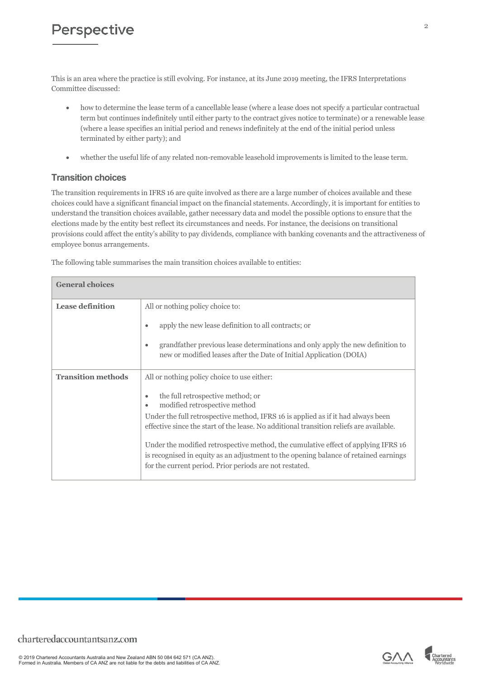This is an area where the practice is still evolving. For instance, at its June 2019 meeting, the IFRS Interpretations Committee discussed:

- how to determine the lease term of a cancellable lease (where a lease does not specify a particular contractual term but continues indefinitely until either party to the contract gives notice to terminate) or a renewable lease (where a lease specifies an initial period and renews indefinitely at the end of the initial period unless terminated by either party); and
- whether the useful life of any related non-removable leasehold improvements is limited to the lease term.

#### **Transition choices**

The transition requirements in IFRS 16 are quite involved as there are a large number of choices available and these choices could have a significant financial impact on the financial statements. Accordingly, it is important for entities to understand the transition choices available, gather necessary data and model the possible options to ensure that the elections made by the entity best reflect its circumstances and needs. For instance, the decisions on transitional provisions could affect the entity's ability to pay dividends, compliance with banking covenants and the attractiveness of employee bonus arrangements.

The following table summarises the main transition choices available to entities:

| <b>General choices</b>    |                                                                                                                                                                                                                                       |
|---------------------------|---------------------------------------------------------------------------------------------------------------------------------------------------------------------------------------------------------------------------------------|
| <b>Lease definition</b>   | All or nothing policy choice to:<br>apply the new lease definition to all contracts; or<br>٠                                                                                                                                          |
|                           | grandfather previous lease determinations and only apply the new definition to<br>٠<br>new or modified leases after the Date of Initial Application (DOIA)                                                                            |
| <b>Transition methods</b> | All or nothing policy choice to use either:                                                                                                                                                                                           |
|                           | the full retrospective method; or<br>٠<br>modified retrospective method<br>٠                                                                                                                                                          |
|                           | Under the full retrospective method, IFRS 16 is applied as if it had always been<br>effective since the start of the lease. No additional transition reliefs are available.                                                           |
|                           | Under the modified retrospective method, the cumulative effect of applying IFRS 16<br>is recognised in equity as an adjustment to the opening balance of retained earnings<br>for the current period. Prior periods are not restated. |

© 2019 Chartered Accountants Australia and New Zealand ABN 50 084 642 571 (CA ANZ). Formed in Australia. Members of CA ANZ are not liable for the debts and liabilities of CA ANZ.

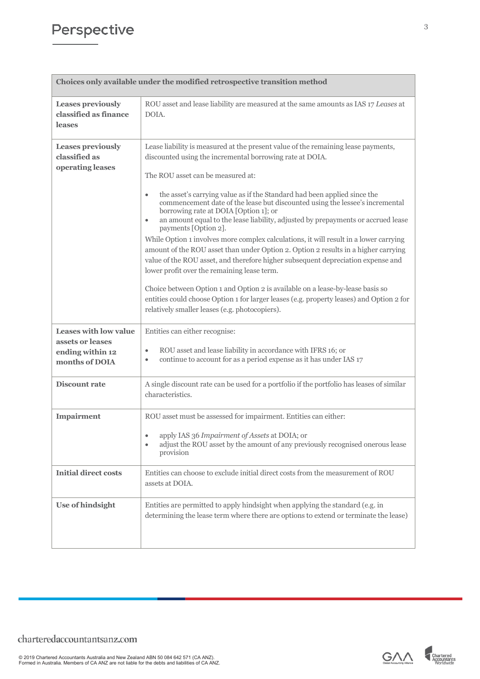| Choices only available under the modified retrospective transition method              |                                                                                                                                                                                                                                                                                                                                                                                                                                                                                                                                                                                                                                                                                                                                                                                                                                                                                                                                                                                                                                                                                 |  |
|----------------------------------------------------------------------------------------|---------------------------------------------------------------------------------------------------------------------------------------------------------------------------------------------------------------------------------------------------------------------------------------------------------------------------------------------------------------------------------------------------------------------------------------------------------------------------------------------------------------------------------------------------------------------------------------------------------------------------------------------------------------------------------------------------------------------------------------------------------------------------------------------------------------------------------------------------------------------------------------------------------------------------------------------------------------------------------------------------------------------------------------------------------------------------------|--|
| <b>Leases previously</b><br>classified as finance<br>leases                            | ROU asset and lease liability are measured at the same amounts as IAS 17 Leases at<br>DOIA.                                                                                                                                                                                                                                                                                                                                                                                                                                                                                                                                                                                                                                                                                                                                                                                                                                                                                                                                                                                     |  |
| <b>Leases previously</b><br>classified as<br>operating leases                          | Lease liability is measured at the present value of the remaining lease payments,<br>discounted using the incremental borrowing rate at DOIA.<br>The ROU asset can be measured at:<br>the asset's carrying value as if the Standard had been applied since the<br>$\bullet$<br>commencement date of the lease but discounted using the lessee's incremental<br>borrowing rate at DOIA [Option 1]; or<br>an amount equal to the lease liability, adjusted by prepayments or accrued lease<br>$\bullet$<br>payments [Option 2].<br>While Option 1 involves more complex calculations, it will result in a lower carrying<br>amount of the ROU asset than under Option 2. Option 2 results in a higher carrying<br>value of the ROU asset, and therefore higher subsequent depreciation expense and<br>lower profit over the remaining lease term.<br>Choice between Option 1 and Option 2 is available on a lease-by-lease basis so<br>entities could choose Option 1 for larger leases (e.g. property leases) and Option 2 for<br>relatively smaller leases (e.g. photocopiers). |  |
| <b>Leases with low value</b><br>assets or leases<br>ending within 12<br>months of DOIA | Entities can either recognise:<br>ROU asset and lease liability in accordance with IFRS 16; or<br>$\bullet$<br>continue to account for as a period expense as it has under IAS 17<br>$\bullet$                                                                                                                                                                                                                                                                                                                                                                                                                                                                                                                                                                                                                                                                                                                                                                                                                                                                                  |  |
| <b>Discount rate</b>                                                                   | A single discount rate can be used for a portfolio if the portfolio has leases of similar<br>characteristics.                                                                                                                                                                                                                                                                                                                                                                                                                                                                                                                                                                                                                                                                                                                                                                                                                                                                                                                                                                   |  |
| <b>Impairment</b>                                                                      | ROU asset must be assessed for impairment. Entities can either:<br>• apply IAS 36 Impairment of Assets at DOIA; or<br>adjust the ROU asset by the amount of any previously recognised onerous lease<br>provision                                                                                                                                                                                                                                                                                                                                                                                                                                                                                                                                                                                                                                                                                                                                                                                                                                                                |  |
| <b>Initial direct costs</b>                                                            | Entities can choose to exclude initial direct costs from the measurement of ROU<br>assets at DOIA.                                                                                                                                                                                                                                                                                                                                                                                                                                                                                                                                                                                                                                                                                                                                                                                                                                                                                                                                                                              |  |
| <b>Use of hindsight</b>                                                                | Entities are permitted to apply hindsight when applying the standard (e.g. in<br>determining the lease term where there are options to extend or terminate the lease)                                                                                                                                                                                                                                                                                                                                                                                                                                                                                                                                                                                                                                                                                                                                                                                                                                                                                                           |  |